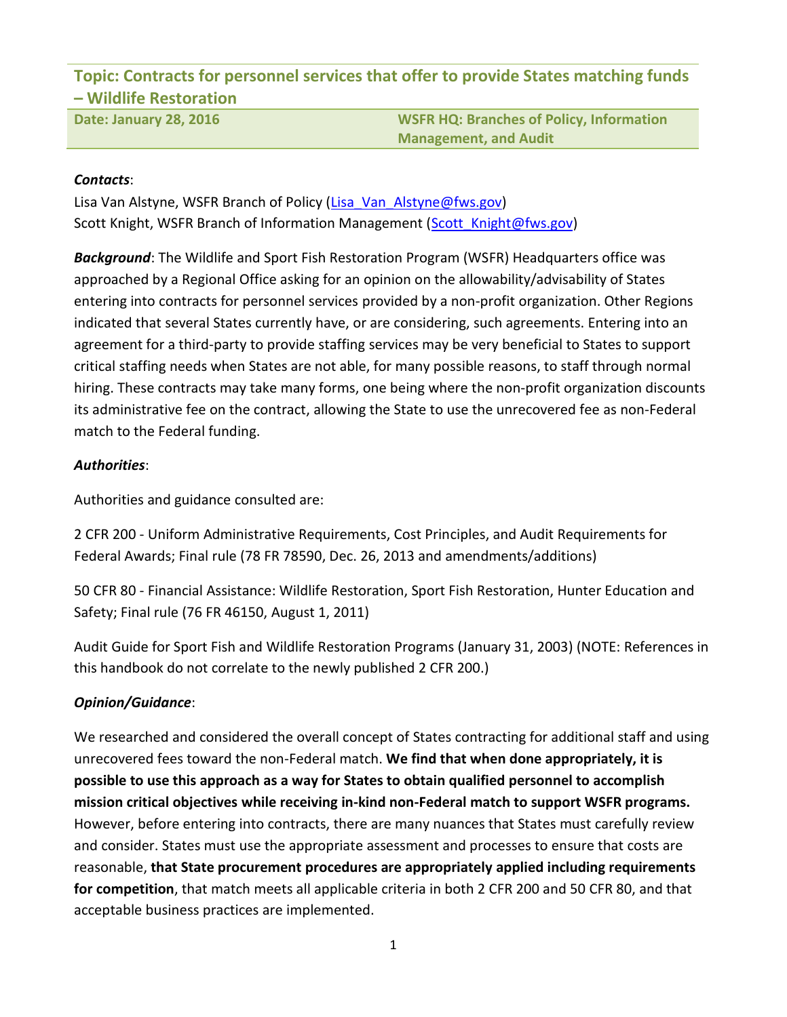**Topic: Contracts for personnel services that offer to provide States matching funds – Wildlife Restoration**

**Date: January 28, 2016 WSFR HQ: Branches of Policy, Information Management, and Audit**

# *Contacts*:

Lisa Van Alstyne, WSFR Branch of Policy [\(Lisa\\_Van\\_Alstyne@fws.gov\)](mailto:Lisa_Van_Alstyne@fws.gov) Scott Knight, WSFR Branch of Information Management (Scott Knight@fws.gov)

*Background*: The Wildlife and Sport Fish Restoration Program (WSFR) Headquarters office was approached by a Regional Office asking for an opinion on the allowability/advisability of States entering into contracts for personnel services provided by a non-profit organization. Other Regions indicated that several States currently have, or are considering, such agreements. Entering into an agreement for a third-party to provide staffing services may be very beneficial to States to support critical staffing needs when States are not able, for many possible reasons, to staff through normal hiring. These contracts may take many forms, one being where the non-profit organization discounts its administrative fee on the contract, allowing the State to use the unrecovered fee as non-Federal match to the Federal funding.

# *Authorities*:

Authorities and guidance consulted are:

2 CFR 200 - Uniform Administrative Requirements, Cost Principles, and Audit Requirements for Federal Awards; Final rule (78 FR 78590, Dec. 26, 2013 and amendments/additions)

50 CFR 80 - Financial Assistance: Wildlife Restoration, Sport Fish Restoration, Hunter Education and Safety; Final rule (76 FR 46150, August 1, 2011)

Audit Guide for Sport Fish and Wildlife Restoration Programs (January 31, 2003) (NOTE: References in this handbook do not correlate to the newly published 2 CFR 200.)

# *Opinion/Guidance*:

We researched and considered the overall concept of States contracting for additional staff and using unrecovered fees toward the non-Federal match. **We find that when done appropriately, it is possible to use this approach as a way for States to obtain qualified personnel to accomplish mission critical objectives while receiving in-kind non-Federal match to support WSFR programs.** However, before entering into contracts, there are many nuances that States must carefully review and consider. States must use the appropriate assessment and processes to ensure that costs are reasonable, **that State procurement procedures are appropriately applied including requirements for competition**, that match meets all applicable criteria in both 2 CFR 200 and 50 CFR 80, and that acceptable business practices are implemented.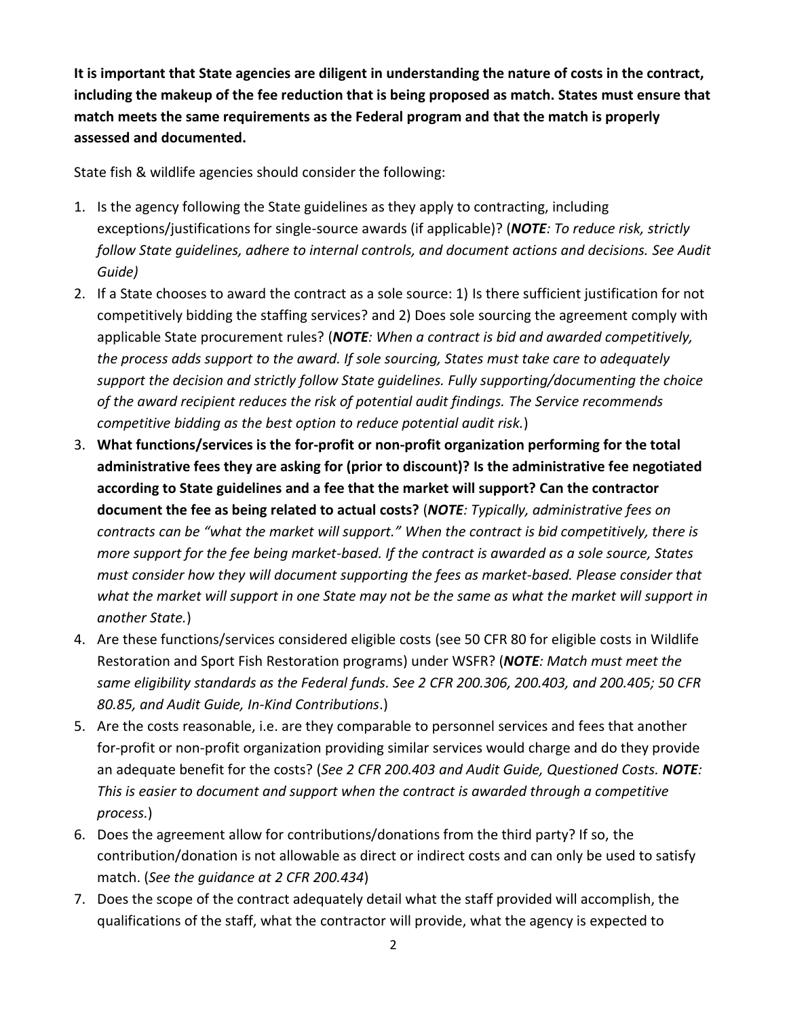**It is important that State agencies are diligent in understanding the nature of costs in the contract, including the makeup of the fee reduction that is being proposed as match. States must ensure that match meets the same requirements as the Federal program and that the match is properly assessed and documented.**

State fish & wildlife agencies should consider the following:

- 1. Is the agency following the State guidelines as they apply to contracting, including exceptions/justifications for single-source awards (if applicable)? (*NOTE: To reduce risk, strictly follow State guidelines, adhere to internal controls, and document actions and decisions. See Audit Guide)*
- 2. If a State chooses to award the contract as a sole source: 1) Is there sufficient justification for not competitively bidding the staffing services? and 2) Does sole sourcing the agreement comply with applicable State procurement rules? (*NOTE: When a contract is bid and awarded competitively, the process adds support to the award. If sole sourcing, States must take care to adequately support the decision and strictly follow State guidelines. Fully supporting/documenting the choice of the award recipient reduces the risk of potential audit findings. The Service recommends competitive bidding as the best option to reduce potential audit risk.*)
- 3. **What functions/services is the for-profit or non-profit organization performing for the total administrative fees they are asking for (prior to discount)? Is the administrative fee negotiated according to State guidelines and a fee that the market will support? Can the contractor document the fee as being related to actual costs?** (*NOTE: Typically, administrative fees on contracts can be "what the market will support." When the contract is bid competitively, there is more support for the fee being market-based. If the contract is awarded as a sole source, States must consider how they will document supporting the fees as market-based. Please consider that what the market will support in one State may not be the same as what the market will support in another State.*)
- 4. Are these functions/services considered eligible costs (see 50 CFR 80 for eligible costs in Wildlife Restoration and Sport Fish Restoration programs) under WSFR? (*NOTE: Match must meet the same eligibility standards as the Federal funds. See 2 CFR 200.306, 200.403, and 200.405; 50 CFR 80.85, and Audit Guide, In-Kind Contributions*.)
- 5. Are the costs reasonable, i.e. are they comparable to personnel services and fees that another for-profit or non-profit organization providing similar services would charge and do they provide an adequate benefit for the costs? (*See 2 CFR 200.403 and Audit Guide, Questioned Costs. NOTE: This is easier to document and support when the contract is awarded through a competitive process.*)
- 6. Does the agreement allow for contributions/donations from the third party? If so, the contribution/donation is not allowable as direct or indirect costs and can only be used to satisfy match. (*See the guidance at 2 CFR 200.434*)
- 7. Does the scope of the contract adequately detail what the staff provided will accomplish, the qualifications of the staff, what the contractor will provide, what the agency is expected to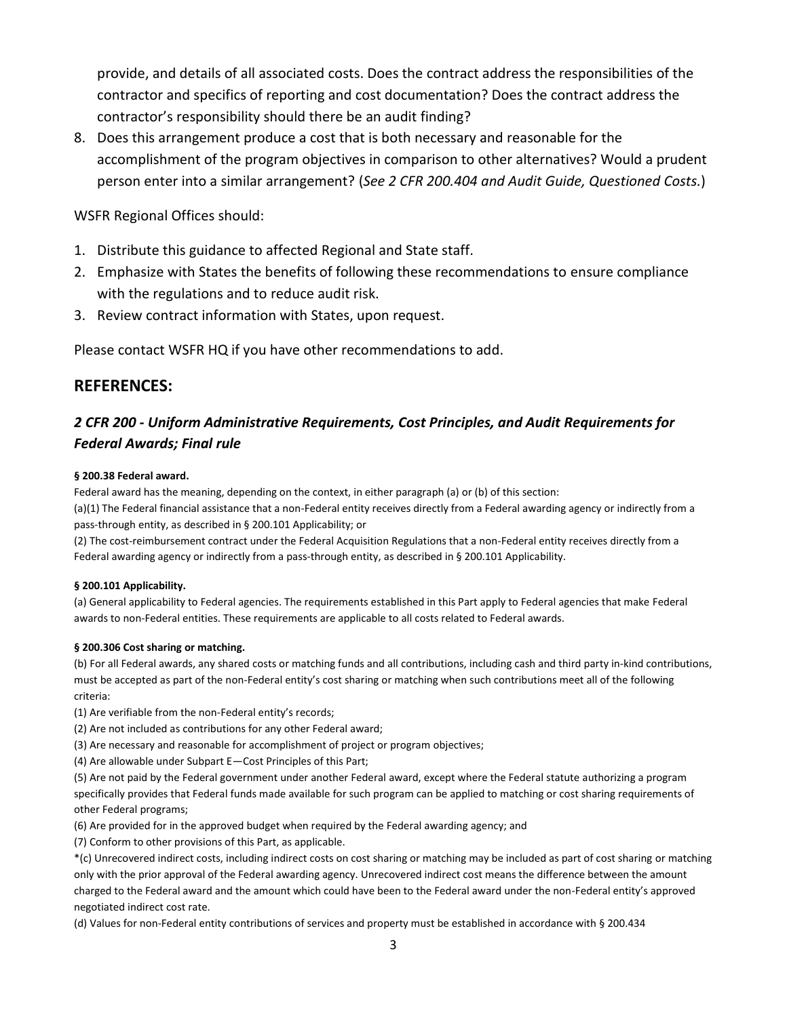provide, and details of all associated costs. Does the contract address the responsibilities of the contractor and specifics of reporting and cost documentation? Does the contract address the contractor's responsibility should there be an audit finding?

8. Does this arrangement produce a cost that is both necessary and reasonable for the accomplishment of the program objectives in comparison to other alternatives? Would a prudent person enter into a similar arrangement? (*See 2 CFR 200.404 and Audit Guide, Questioned Costs.*)

# WSFR Regional Offices should:

- 1. Distribute this guidance to affected Regional and State staff.
- 2. Emphasize with States the benefits of following these recommendations to ensure compliance with the regulations and to reduce audit risk.
- 3. Review contract information with States, upon request.

Please contact WSFR HQ if you have other recommendations to add.

# **REFERENCES:**

# *2 CFR 200 - Uniform Administrative Requirements, Cost Principles, and Audit Requirements for Federal Awards; Final rule*

## **§ 200.38 Federal award.**

Federal award has the meaning, depending on the context, in either paragraph (a) or (b) of this section:

(a)(1) The Federal financial assistance that a non-Federal entity receives directly from a Federal awarding agency or indirectly from a pass-through entity, as described in § 200.101 Applicability; or

(2) The cost-reimbursement contract under the Federal Acquisition Regulations that a non-Federal entity receives directly from a Federal awarding agency or indirectly from a pass-through entity, as described in § 200.101 Applicability.

## **§ 200.101 Applicability.**

(a) General applicability to Federal agencies. The requirements established in this Part apply to Federal agencies that make Federal awards to non-Federal entities. These requirements are applicable to all costs related to Federal awards.

## **§ 200.306 Cost sharing or matching.**

(b) For all Federal awards, any shared costs or matching funds and all contributions, including cash and third party in-kind contributions, must be accepted as part of the non-Federal entity's cost sharing or matching when such contributions meet all of the following criteria:

(1) Are verifiable from the non-Federal entity's records;

- (2) Are not included as contributions for any other Federal award;
- (3) Are necessary and reasonable for accomplishment of project or program objectives;
- (4) Are allowable under Subpart E—Cost Principles of this Part;

(5) Are not paid by the Federal government under another Federal award, except where the Federal statute authorizing a program specifically provides that Federal funds made available for such program can be applied to matching or cost sharing requirements of other Federal programs;

- (6) Are provided for in the approved budget when required by the Federal awarding agency; and
- (7) Conform to other provisions of this Part, as applicable.

\*(c) Unrecovered indirect costs, including indirect costs on cost sharing or matching may be included as part of cost sharing or matching only with the prior approval of the Federal awarding agency. Unrecovered indirect cost means the difference between the amount charged to the Federal award and the amount which could have been to the Federal award under the non-Federal entity's approved negotiated indirect cost rate.

(d) Values for non-Federal entity contributions of services and property must be established in accordance with § 200.434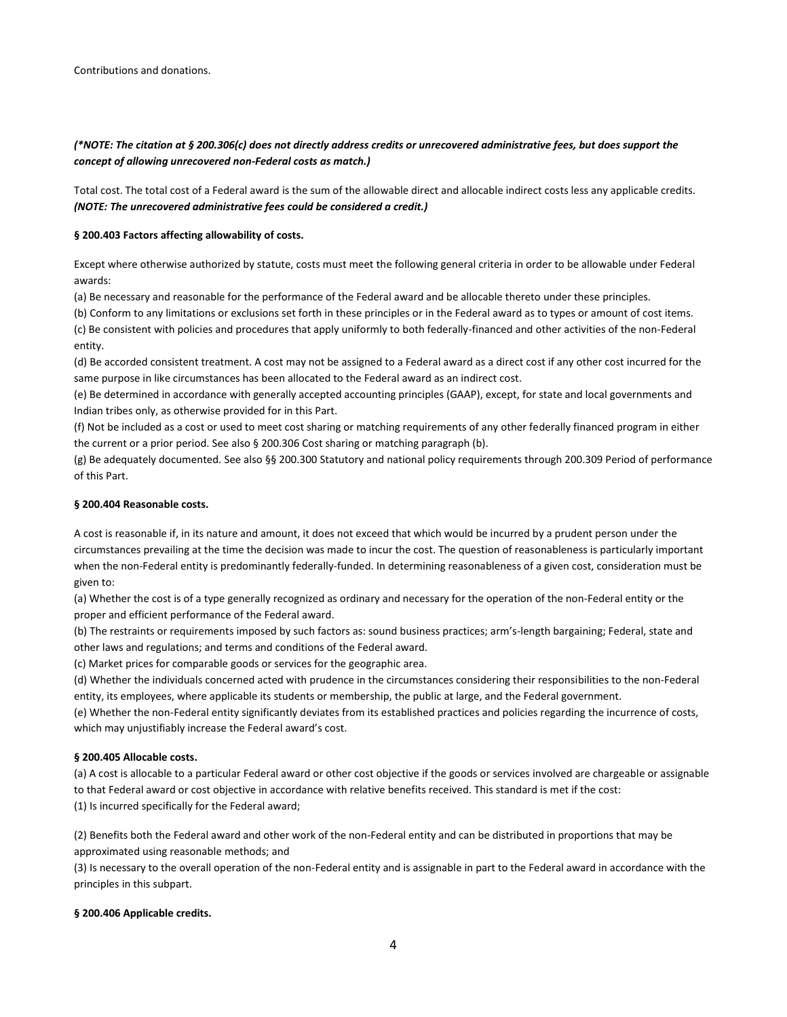## *(\*NOTE: The citation at § 200.306(c) does not directly address credits or unrecovered administrative fees, but does support the concept of allowing unrecovered non-Federal costs as match.)*

Total cost. The total cost of a Federal award is the sum of the allowable direct and allocable indirect costs less any applicable credits. *(NOTE: The unrecovered administrative fees could be considered a credit.)*

### **§ 200.403 Factors affecting allowability of costs.**

Except where otherwise authorized by statute, costs must meet the following general criteria in order to be allowable under Federal awards:

(a) Be necessary and reasonable for the performance of the Federal award and be allocable thereto under these principles.

(b) Conform to any limitations or exclusions set forth in these principles or in the Federal award as to types or amount of cost items. (c) Be consistent with policies and procedures that apply uniformly to both federally-financed and other activities of the non-Federal entity.

(d) Be accorded consistent treatment. A cost may not be assigned to a Federal award as a direct cost if any other cost incurred for the same purpose in like circumstances has been allocated to the Federal award as an indirect cost.

(e) Be determined in accordance with generally accepted accounting principles (GAAP), except, for state and local governments and Indian tribes only, as otherwise provided for in this Part.

(f) Not be included as a cost or used to meet cost sharing or matching requirements of any other federally financed program in either the current or a prior period. See also § 200.306 Cost sharing or matching paragraph (b).

(g) Be adequately documented. See also §§ 200.300 Statutory and national policy requirements through 200.309 Period of performance of this Part.

### **§ 200.404 Reasonable costs.**

A cost is reasonable if, in its nature and amount, it does not exceed that which would be incurred by a prudent person under the circumstances prevailing at the time the decision was made to incur the cost. The question of reasonableness is particularly important when the non-Federal entity is predominantly federally-funded. In determining reasonableness of a given cost, consideration must be given to:

(a) Whether the cost is of a type generally recognized as ordinary and necessary for the operation of the non-Federal entity or the proper and efficient performance of the Federal award.

(b) The restraints or requirements imposed by such factors as: sound business practices; arm's-length bargaining; Federal, state and other laws and regulations; and terms and conditions of the Federal award.

(c) Market prices for comparable goods or services for the geographic area.

(d) Whether the individuals concerned acted with prudence in the circumstances considering their responsibilities to the non-Federal entity, its employees, where applicable its students or membership, the public at large, and the Federal government.

(e) Whether the non-Federal entity significantly deviates from its established practices and policies regarding the incurrence of costs, which may unjustifiably increase the Federal award's cost.

### **§ 200.405 Allocable costs.**

(a) A cost is allocable to a particular Federal award or other cost objective if the goods or services involved are chargeable or assignable to that Federal award or cost objective in accordance with relative benefits received. This standard is met if the cost: (1) Is incurred specifically for the Federal award;

(2) Benefits both the Federal award and other work of the non-Federal entity and can be distributed in proportions that may be approximated using reasonable methods; and

(3) Is necessary to the overall operation of the non-Federal entity and is assignable in part to the Federal award in accordance with the principles in this subpart.

### **§ 200.406 Applicable credits.**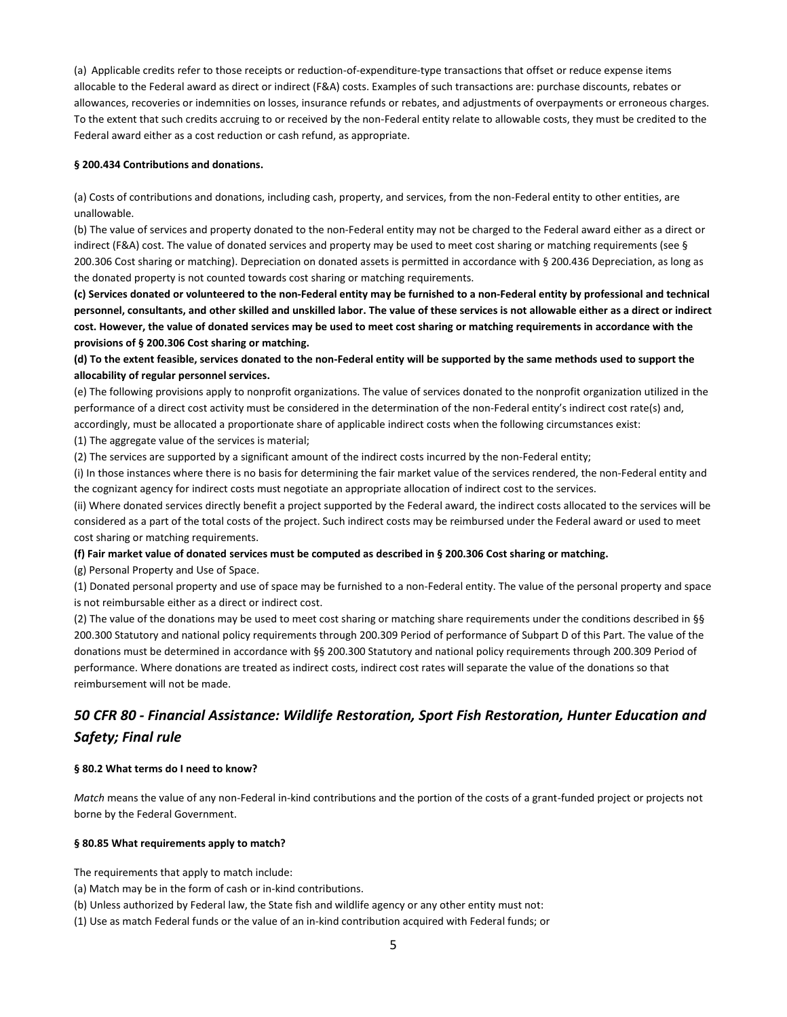(a) Applicable credits refer to those receipts or reduction-of-expenditure-type transactions that offset or reduce expense items allocable to the Federal award as direct or indirect (F&A) costs. Examples of such transactions are: purchase discounts, rebates or allowances, recoveries or indemnities on losses, insurance refunds or rebates, and adjustments of overpayments or erroneous charges. To the extent that such credits accruing to or received by the non-Federal entity relate to allowable costs, they must be credited to the Federal award either as a cost reduction or cash refund, as appropriate.

### **§ 200.434 Contributions and donations.**

(a) Costs of contributions and donations, including cash, property, and services, from the non-Federal entity to other entities, are unallowable.

(b) The value of services and property donated to the non-Federal entity may not be charged to the Federal award either as a direct or indirect (F&A) cost. The value of donated services and property may be used to meet cost sharing or matching requirements (see § 200.306 Cost sharing or matching). Depreciation on donated assets is permitted in accordance with § 200.436 Depreciation, as long as the donated property is not counted towards cost sharing or matching requirements.

**(c) Services donated or volunteered to the non-Federal entity may be furnished to a non-Federal entity by professional and technical personnel, consultants, and other skilled and unskilled labor. The value of these services is not allowable either as a direct or indirect cost. However, the value of donated services may be used to meet cost sharing or matching requirements in accordance with the provisions of § 200.306 Cost sharing or matching.**

**(d) To the extent feasible, services donated to the non-Federal entity will be supported by the same methods used to support the allocability of regular personnel services.**

(e) The following provisions apply to nonprofit organizations. The value of services donated to the nonprofit organization utilized in the performance of a direct cost activity must be considered in the determination of the non-Federal entity's indirect cost rate(s) and, accordingly, must be allocated a proportionate share of applicable indirect costs when the following circumstances exist:

(1) The aggregate value of the services is material;

(2) The services are supported by a significant amount of the indirect costs incurred by the non-Federal entity;

(i) In those instances where there is no basis for determining the fair market value of the services rendered, the non-Federal entity and the cognizant agency for indirect costs must negotiate an appropriate allocation of indirect cost to the services.

(ii) Where donated services directly benefit a project supported by the Federal award, the indirect costs allocated to the services will be considered as a part of the total costs of the project. Such indirect costs may be reimbursed under the Federal award or used to meet cost sharing or matching requirements.

### **(f) Fair market value of donated services must be computed as described in § 200.306 Cost sharing or matching.**

(g) Personal Property and Use of Space.

(1) Donated personal property and use of space may be furnished to a non-Federal entity. The value of the personal property and space is not reimbursable either as a direct or indirect cost.

(2) The value of the donations may be used to meet cost sharing or matching share requirements under the conditions described in §§ 200.300 Statutory and national policy requirements through 200.309 Period of performance of Subpart D of this Part. The value of the donations must be determined in accordance with §§ 200.300 Statutory and national policy requirements through 200.309 Period of performance. Where donations are treated as indirect costs, indirect cost rates will separate the value of the donations so that reimbursement will not be made.

# *50 CFR 80 - Financial Assistance: Wildlife Restoration, Sport Fish Restoration, Hunter Education and Safety; Final rule*

### **§ 80.2 What terms do I need to know?**

*Match* means the value of any non-Federal in-kind contributions and the portion of the costs of a grant-funded project or projects not borne by the Federal Government.

### **§ 80.85 What requirements apply to match?**

The requirements that apply to match include:

- (a) Match may be in the form of cash or in-kind contributions.
- (b) Unless authorized by Federal law, the State fish and wildlife agency or any other entity must not:
- (1) Use as match Federal funds or the value of an in-kind contribution acquired with Federal funds; or